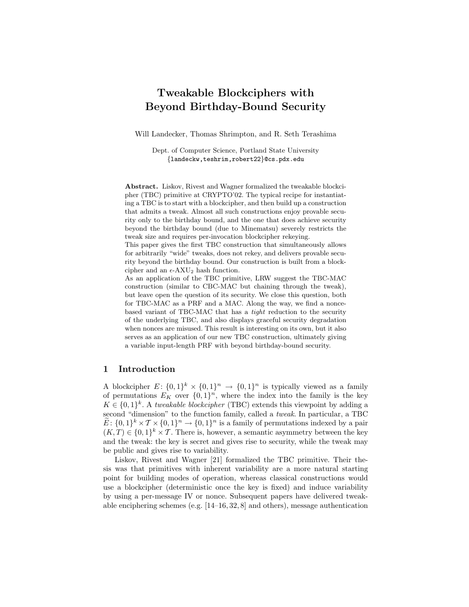# Tweakable Blockciphers with Beyond Birthday-Bound Security

Will Landecker, Thomas Shrimpton, and R. Seth Terashima

Dept. of Computer Science, Portland State University {landeckw,teshrim,robert22}@cs.pdx.edu

Abstract. Liskov, Rivest and Wagner formalized the tweakable blockcipher (TBC) primitive at CRYPTO'02. The typical recipe for instantiating a TBC is to start with a blockcipher, and then build up a construction that admits a tweak. Almost all such constructions enjoy provable security only to the birthday bound, and the one that does achieve security beyond the birthday bound (due to Minematsu) severely restricts the tweak size and requires per-invocation blockcipher rekeying.

This paper gives the first TBC construction that simultaneously allows for arbitrarily "wide" tweaks, does not rekey, and delivers provable security beyond the birthday bound. Our construction is built from a blockcipher and an  $\epsilon$ -AXU<sub>2</sub> hash function.

As an application of the TBC primitive, LRW suggest the TBC-MAC construction (similar to CBC-MAC but chaining through the tweak), but leave open the question of its security. We close this question, both for TBC-MAC as a PRF and a MAC. Along the way, we find a noncebased variant of TBC-MAC that has a tight reduction to the security of the underlying TBC, and also displays graceful security degradation when nonces are misused. This result is interesting on its own, but it also serves as an application of our new TBC construction, ultimately giving a variable input-length PRF with beyond birthday-bound security.

## 1 Introduction

A blockcipher  $E: \{0,1\}^k \times \{0,1\}^n \rightarrow \{0,1\}^n$  is typically viewed as a family of permutations  $E_K$  over  $\{0,1\}^n$ , where the index into the family is the key  $K \in \{0,1\}^k$ . A tweakable blockcipher (TBC) extends this viewpoint by adding a second "dimension" to the function family, called a tweak. In particular, a TBC  $\widetilde{E}: \{0,1\}^k \times T \times \{0,1\}^n \to \{0,1\}^n$  is a family of permutations indexed by a pair  $(K, T) \in \{0, 1\}^k \times \mathcal{T}$ . There is, however, a semantic asymmetry between the key and the tweak: the key is secret and gives rise to security, while the tweak may be public and gives rise to variability.

Liskov, Rivest and Wagner [21] formalized the TBC primitive. Their thesis was that primitives with inherent variability are a more natural starting point for building modes of operation, whereas classical constructions would use a blockcipher (deterministic once the key is fixed) and induce variability by using a per-message IV or nonce. Subsequent papers have delivered tweakable enciphering schemes (e.g. [14–16, 32, 8] and others), message authentication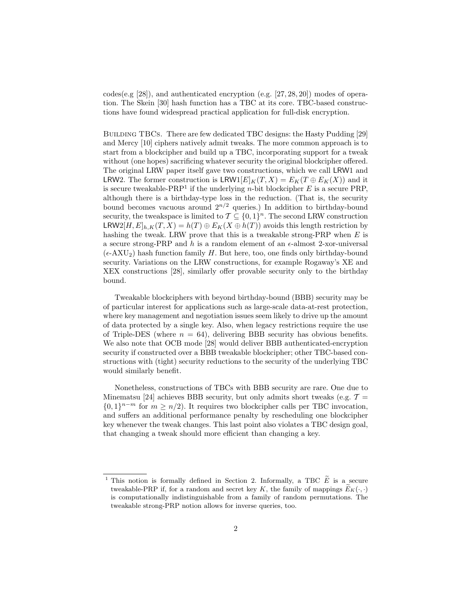codes(e.g [28]), and authenticated encryption (e.g. [27, 28, 20]) modes of operation. The Skein [30] hash function has a TBC at its core. TBC-based constructions have found widespread practical application for full-disk encryption.

BUILDING TBCs. There are few dedicated TBC designs: the Hasty Pudding [29] and Mercy [10] ciphers natively admit tweaks. The more common approach is to start from a blockcipher and build up a TBC, incorporating support for a tweak without (one hopes) sacrificing whatever security the original blockcipher offered. The original LRW paper itself gave two constructions, which we call LRW1 and LRW2. The former construction is  $LRW1[E]_K(T, X) = E_K(T \oplus E_K(X))$  and it is secure tweakable-PRP<sup>1</sup> if the underlying *n*-bit blockcipher  $E$  is a secure PRP, although there is a birthday-type loss in the reduction. (That is, the security bound becomes vacuous around  $2^{n/2}$  queries.) In addition to birthday-bound security, the tweakspace is limited to  $\mathcal{T} \subseteq \{0,1\}^n$ . The second LRW construction LRW2[H,  $E|_{h,K}(T, X) = h(T) \oplus E_K(X \oplus h(T))$  avoids this length restriction by hashing the tweak. LRW prove that this is a tweakable strong-PRP when  $E$  is a secure strong-PRP and h is a random element of an  $\epsilon$ -almost 2-xor-universal  $(\epsilon$ -AXU<sub>2</sub>) hash function family H. But here, too, one finds only birthday-bound security. Variations on the LRW constructions, for example Rogaway's XE and XEX constructions [28], similarly offer provable security only to the birthday bound.

Tweakable blockciphers with beyond birthday-bound (BBB) security may be of particular interest for applications such as large-scale data-at-rest protection, where key management and negotiation issues seem likely to drive up the amount of data protected by a single key. Also, when legacy restrictions require the use of Triple-DES (where  $n = 64$ ), delivering BBB security has obvious benefits. We also note that OCB mode [28] would deliver BBB authenticated-encryption security if constructed over a BBB tweakable blockcipher; other TBC-based constructions with (tight) security reductions to the security of the underlying TBC would similarly benefit.

Nonetheless, constructions of TBCs with BBB security are rare. One due to Minematsu [24] achieves BBB security, but only admits short tweaks (e.g.  $\mathcal{T} =$  ${0,1}^{n-m}$  for  $m \geq n/2$ ). It requires two blockcipher calls per TBC invocation, and suffers an additional performance penalty by rescheduling one blockcipher key whenever the tweak changes. This last point also violates a TBC design goal, that changing a tweak should more efficient than changing a key.

<sup>&</sup>lt;sup>1</sup> This notion is formally defined in Section 2. Informally, a TBC  $\widetilde{E}$  is a secure tweakable-PRP if, for a random and secret key K, the family of mappings  $\widetilde{E}_K(\cdot, \cdot)$ is computationally indistinguishable from a family of random permutations. The tweakable strong-PRP notion allows for inverse queries, too.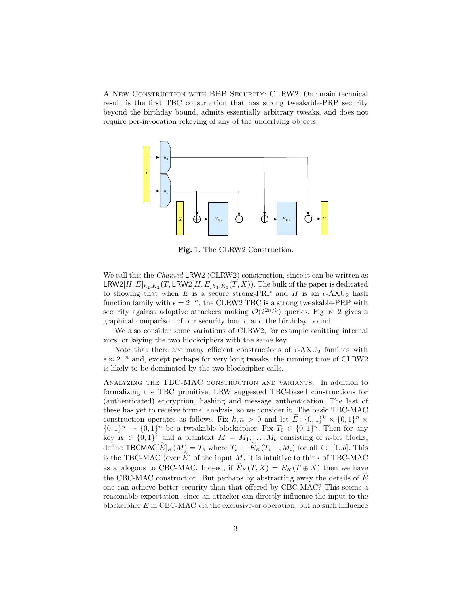A New Construction with BBB Security: CLRW2. Our main technical result is the first TBC construction that has strong tweakable-PRP security beyond the birthday bound, admits essentially arbitrary tweaks, and does not require per-invocation rekeying of any of the underlying objects.



Fig. 1. The CLRW2 Construction.

We call this the *Chained* LRW2 (CLRW2) construction, since it can be written as  $\mathsf{LRW2}[H, E]_{h_2, K_2}(T, \mathsf{LRW2}[H, E]_{h_1, K_1}(T, X)).$  The bulk of the paper is dedicated to showing that when E is a secure strong-PRP and H is an  $\epsilon$ -AXU<sub>2</sub> hash function family with  $\epsilon = 2^{-n}$ , the CLRW2 TBC is a strong tweakable-PRP with security against adaptive attackers making  $\mathcal{O}(2^{2n/3})$  queries. Figure 2 gives a graphical comparison of our security bound and the birthday bound.

We also consider some variations of CLRW2, for example omitting internal xors, or keying the two blockciphers with the same key.

Note that there are many efficient constructions of  $\epsilon$ -AXU<sub>2</sub> families with  $\epsilon \approx 2^{-n}$  and, except perhaps for very long tweaks, the running time of CLRW2 is likely to be dominated by the two blockcipher calls.

Analyzing the TBC-MAC construction and variants. In addition to formalizing the TBC primitive, LRW suggested TBC-based constructions for (authenticated) encryption, hashing and message authentication. The last of these has yet to receive formal analysis, so we consider it. The basic TBC-MAC construction operates as follows. Fix  $k, n > 0$  and let  $\tilde{E}: \{0,1\}^k \times \{0,1\}^n \times$  $\{0,1\}^n \to \{0,1\}^n$  be a tweakable blockcipher. Fix  $T_0 \in \{0,1\}^n$ . Then for any key  $K \in \{0,1\}^k$  and a plaintext  $M = M_1, \ldots, M_b$  consisting of *n*-bit blocks, define TBCMAC $[\widetilde{E}]_K(M) = T_b$  where  $T_i \leftarrow \widetilde{E}_K(T_{i-1}, M_i)$  for all  $i \in [1..b]$ . This is the TBC-MAC (over  $\hat{E}$ ) of the input M. It is intuitive to think of TBC-MAC as analogous to CBC-MAC. Indeed, if  $E_K(T, X) = E_K(T \oplus X)$  then we have the CBC-MAC construction. But perhaps by abstracting away the details of  $\overline{E}$ one can achieve better security than that offered by CBC-MAC? This seems a reasonable expectation, since an attacker can directly influence the input to the blockcipher  $E$  in CBC-MAC via the exclusive-or operation, but no such influence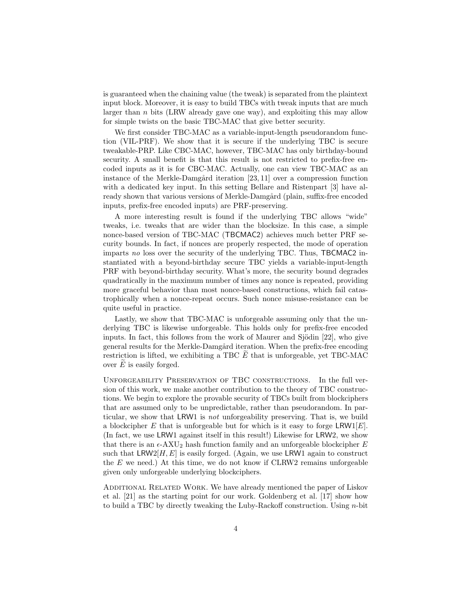is guaranteed when the chaining value (the tweak) is separated from the plaintext input block. Moreover, it is easy to build TBCs with tweak inputs that are much larger than  $n$  bits (LRW already gave one way), and exploiting this may allow for simple twists on the basic TBC-MAC that give better security.

We first consider TBC-MAC as a variable-input-length pseudorandom function (VIL-PRF). We show that it is secure if the underlying TBC is secure tweakable-PRP. Like CBC-MAC, however, TBC-MAC has only birthday-bound security. A small benefit is that this result is not restricted to prefix-free encoded inputs as it is for CBC-MAC. Actually, one can view TBC-MAC as an instance of the Merkle-Damgård iteration  $[23, 11]$  over a compression function with a dedicated key input. In this setting Bellare and Ristenpart [3] have already shown that various versions of Merkle-Damgård (plain, suffix-free encoded inputs, prefix-free encoded inputs) are PRF-preserving.

A more interesting result is found if the underlying TBC allows "wide" tweaks, i.e. tweaks that are wider than the blocksize. In this case, a simple nonce-based version of TBC-MAC (TBCMAC2) achieves much better PRF security bounds. In fact, if nonces are properly respected, the mode of operation imparts no loss over the security of the underlying TBC. Thus, TBCMAC2 instantiated with a beyond-birthday secure TBC yields a variable-input-length PRF with beyond-birthday security. What's more, the security bound degrades quadratically in the maximum number of times any nonce is repeated, providing more graceful behavior than most nonce-based constructions, which fail catastrophically when a nonce-repeat occurs. Such nonce misuse-resistance can be quite useful in practice.

Lastly, we show that TBC-MAC is unforgeable assuming only that the underlying TBC is likewise unforgeable. This holds only for prefix-free encoded inputs. In fact, this follows from the work of Maurer and Sjödin  $[22]$ , who give general results for the Merkle-Damgård iteration. When the prefix-free encoding restriction is lifted, we exhibiting a TBC  $E$  that is unforgeable, yet TBC-MAC over  $E$  is easily forged.

Unforgeability Preservation of TBC constructions. In the full version of this work, we make another contribution to the theory of TBC constructions. We begin to explore the provable security of TBCs built from blockciphers that are assumed only to be unpredictable, rather than pseudorandom. In particular, we show that LRW1 is not unforgeability preserving. That is, we build a blockcipher E that is unforgeable but for which is it easy to forge LRW1[E]. (In fact, we use LRW1 against itself in this result!) Likewise for LRW2, we show that there is an  $\epsilon$ -AXU<sub>2</sub> hash function family and an unforgeable blockcipher E such that  $LRW2[H, E]$  is easily forged. (Again, we use LRW1 again to construct the  $E$  we need.) At this time, we do not know if  $CLRW2$  remains unforgeable given only unforgeable underlying blockciphers.

ADDITIONAL RELATED WORK. We have already mentioned the paper of Liskov et al. [21] as the starting point for our work. Goldenberg et al. [17] show how to build a TBC by directly tweaking the Luby-Rackoff construction. Using n-bit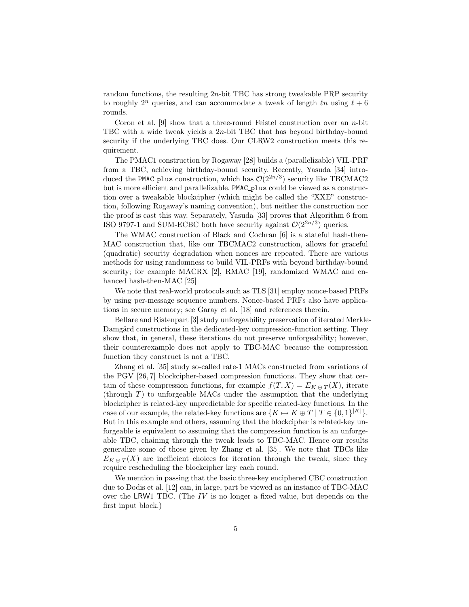random functions, the resulting  $2n$ -bit TBC has strong tweakable PRP security to roughly  $2^n$  queries, and can accommodate a tweak of length  $\ln$  using  $\ell + 6$ rounds.

Coron et al.  $[9]$  show that a three-round Feistel construction over an *n*-bit TBC with a wide tweak yields a 2n-bit TBC that has beyond birthday-bound security if the underlying TBC does. Our CLRW2 construction meets this requirement.

The PMAC1 construction by Rogaway [28] builds a (parallelizable) VIL-PRF from a TBC, achieving birthday-bound security. Recently, Yasuda [34] introduced the PMAC plus construction, which has  $\mathcal{O}(2^{2n/3})$  security like TBCMAC2 but is more efficient and parallelizable. PMAC plus could be viewed as a construction over a tweakable blockcipher (which might be called the "XXE" construction, following Rogaway's naming convention), but neither the construction nor the proof is cast this way. Separately, Yasuda [33] proves that Algorithm 6 from ISO 9797-1 and SUM-ECBC both have security against  $\mathcal{O}(2^{2n/3})$  queries.

The WMAC construction of Black and Cochran [6] is a stateful hash-then-MAC construction that, like our TBCMAC2 construction, allows for graceful (quadratic) security degradation when nonces are repeated. There are various methods for using randomness to build VIL-PRFs with beyond birthday-bound security; for example MACRX [2], RMAC [19], randomized WMAC and enhanced hash-then-MAC [25]

We note that real-world protocols such as TLS [31] employ nonce-based PRFs by using per-message sequence numbers. Nonce-based PRFs also have applications in secure memory; see Garay et al. [18] and references therein.

Bellare and Ristenpart [3] study unforgeability preservation of iterated Merkle-Damgård constructions in the dedicated-key compression-function setting. They show that, in general, these iterations do not preserve unforgeability; however, their counterexample does not apply to TBC-MAC because the compression function they construct is not a TBC.

Zhang et al. [35] study so-called rate-1 MACs constructed from variations of the PGV [26, 7] blockcipher-based compression functions. They show that certain of these compression functions, for example  $f(T, X) = E_{K \oplus T}(X)$ , iterate (through  $T$ ) to unforgeable MACs under the assumption that the underlying blockcipher is related-key unpredictable for specific related-key functions. In the case of our example, the related-key functions are  $\{K \mapsto K \oplus T \mid T \in \{0,1\}^{|K|}\}.$ But in this example and others, assuming that the blockcipher is related-key unforgeable is equivalent to assuming that the compression function is an unforgeable TBC, chaining through the tweak leads to TBC-MAC. Hence our results generalize some of those given by Zhang et al. [35]. We note that TBCs like  $E_{K \oplus T}(X)$  are inefficient choices for iteration through the tweak, since they require rescheduling the blockcipher key each round.

We mention in passing that the basic three-key enciphered CBC construction due to Dodis et al. [12] can, in large, part be viewed as an instance of TBC-MAC over the LRW1 TBC. (The IV is no longer a fixed value, but depends on the first input block.)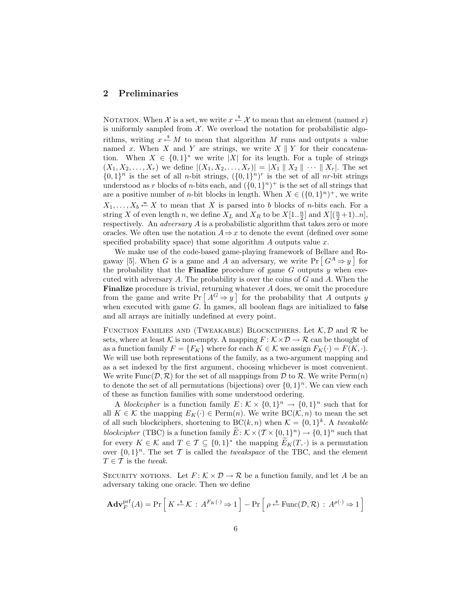# 2 Preliminaries

NOTATION. When X is a set, we write  $x \stackrel{\$}{\leftarrow} X$  to mean that an element (named x) is uniformly sampled from  $X$ . We overload the notation for probabilistic algorithms, writing  $x \stackrel{s}{\leftarrow} M$  to mean that algorithm M runs and outputs a value named x. When X and Y are strings, we write  $X \parallel Y$  for their concatenation. When  $X \in \{0,1\}^*$  we write |X| for its length. For a tuple of strings  $(X_1, X_2, \ldots, X_r)$  we define  $|(X_1, X_2, \ldots, X_r)| = |X_1||X_2|| \cdots ||X_r|$ . The set  $\{0,1\}^n$  is the set of all *n*-bit strings,  $(\{0,1\}^n)^r$  is the set of all *nr*-bit strings understood as r blocks of n-bits each, and  $({0, 1}<sup>n</sup>)<sup>+</sup>$  is the set of all strings that are a positive number of *n*-bit blocks in length. When  $X \in (\{0,1\}^n)^+$ , we write  $X_1, \ldots, X_b \stackrel{\text{a}}{\leftarrow} X$  to mean that X is parsed into b blocks of n-bits each. For a string X of even length n, we define  $X_L$  and  $X_R$  to be  $X[1..\frac{n}{2}]$  and  $X[(\frac{n}{2}+1)...n]$ , respectively. An *adversary* A is a probabilistic algorithm that takes zero or more oracles. We often use the notation  $A \Rightarrow x$  to denote the event (defined over some specified probability space) that some algorithm  $\Lambda$  outputs value  $x$ .

We make use of the code-based game-playing framework of Bellare and Rogaway [5]. When G is a game and A an adversary, we write  $Pr\left[G^A \Rightarrow y\right]$  for the probability that the **Finalize** procedure of game  $G$  outputs  $y$  when executed with adversary  $A$ . The probability is over the coins of  $G$  and  $A$ . When the Finalize procedure is trivial, returning whatever A does, we omit the procedure from the game and write  $Pr[A^G \Rightarrow y]$  for the probability that A outputs y when executed with game  $G$ . In games, all boolean flags are initialized to false and all arrays are initially undefined at every point.

FUNCTION FAMILIES AND (TWEAKABLE) BLOCKCIPHERS. Let  $\mathcal{K}, \mathcal{D}$  and  $\mathcal{R}$  be sets, where at least K is non-empty. A mapping  $F: K \times D \to \mathcal{R}$  can be thought of as a function family  $F = \{F_K\}$  where for each  $K \in \mathcal{K}$  we assign  $F_K(\cdot) = F(K, \cdot)$ . We will use both representations of the family, as a two-argument mapping and as a set indexed by the first argument, choosing whichever is most convenient. We write Func $(\mathcal{D}, \mathcal{R})$  for the set of all mappings from  $\mathcal D$  to  $\mathcal R$ . We write Perm $(n)$ to denote the set of all permutations (bijections) over  $\{0,1\}^n$ . We can view each of these as function families with some understood ordering.

A blockcipher is a function family  $E: \mathcal{K} \times \{0,1\}^n \to \{0,1\}^n$  such that for all  $K \in \mathcal{K}$  the mapping  $E_K(\cdot) \in \text{Perm}(n)$ . We write  $BC(\mathcal{K}, n)$  to mean the set of all such blockciphers, shortening to  $BC(k, n)$  when  $\mathcal{K} = \{0, 1\}^k$ . A tweakable blockcipher (TBC) is a function family  $\widetilde{E}: \mathcal{K} \times (\mathcal{T} \times \{0,1\}^n) \to \{0,1\}^n$  such that for every  $K \in \mathcal{K}$  and  $T \in \mathcal{T} \subseteq \{0,1\}^*$  the mapping  $\widetilde{E}_K(T,\cdot)$  is a permutation over  $\{0,1\}^n$ . The set T is called the *tweakspace* of the TBC, and the element  $T \in \mathcal{T}$  is the tweak.

SECURITY NOTIONS. Let  $F: K \times \mathcal{D} \to \mathcal{R}$  be a function family, and let A be an adversary taking one oracle. Then we define

$$
\mathbf{Adv}_{F}^{\mathrm{prf}}(A) = \Pr\left[K \xleftarrow{\$} \mathcal{K} : A^{F_{K}(\cdot)} \Rightarrow 1\right] - \Pr\left[\rho \xleftarrow{\$} \mathrm{Func}(\mathcal{D}, \mathcal{R}) : A^{\rho(\cdot)} \Rightarrow 1\right]
$$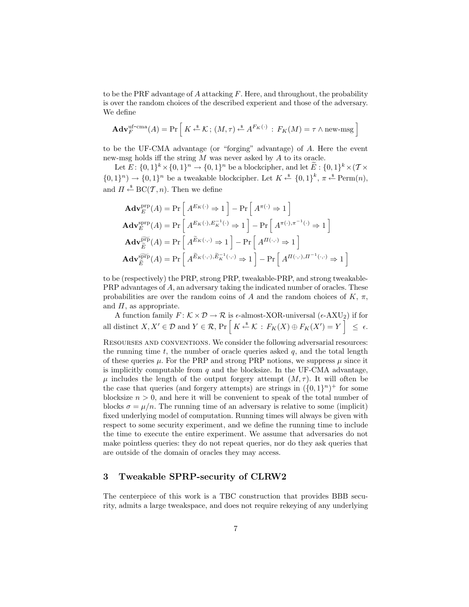to be the PRF advantage of A attacking  $F$ . Here, and throughout, the probability is over the random choices of the described experient and those of the adversary. We define

$$
\mathbf{Adv}_{F}^{\mathrm{uf-cma}}(A) = \Pr\left[K \xleftarrow{\$} \mathcal{K}; (M, \tau) \xleftarrow{\$} A^{F_{K}(\cdot)} : F_{K}(M) = \tau \wedge \mathrm{new\text{-}msg}\right]
$$

to be the UF-CMA advantage (or "forging" advantage) of A. Here the event new-msg holds iff the string M was never asked by A to its oracle.

Let  $E: \{0,1\}^k \times \{0,1\}^n \to \{0,1\}^n$  be a blockcipher, and let  $\tilde{E}: \{0,1\}^k \times (\mathcal{T} \times$  $\{0,1\}^n$   $\rightarrow$   $\{0,1\}^n$  be a tweakable blockcipher. Let  $K \xleftarrow{\$} \{0,1\}^k$ ,  $\pi \xleftarrow{\$} \text{Perm}(n)$ , and  $\Pi \stackrel{\hspace{0.1em}\mathsf{\scriptscriptstyle\$}}{\leftarrow} \mathrm{BC}(\mathcal{T},n)$ . Then we define

$$
\mathbf{Adv}_{E}^{\text{prp}}(A) = \Pr\left[A^{E_{K}(\cdot)} \Rightarrow 1\right] - \Pr\left[A^{\pi(\cdot)} \Rightarrow 1\right]
$$
\n
$$
\mathbf{Adv}_{E}^{\text{prp}}(A) = \Pr\left[A^{E_{K}(\cdot), E_{K}^{-1}(\cdot)} \Rightarrow 1\right] - \Pr\left[A^{\pi(\cdot), \pi^{-1}(\cdot)} \Rightarrow 1\right]
$$
\n
$$
\mathbf{Adv}_{\widetilde{E}}^{\text{prp}}(A) = \Pr\left[A^{\widetilde{E}_{K}(\cdot, \cdot)} \Rightarrow 1\right] - \Pr\left[A^{\Pi(\cdot, \cdot)} \Rightarrow 1\right]
$$
\n
$$
\mathbf{Adv}_{\widetilde{E}}^{\text{prp}}(A) = \Pr\left[A^{\widetilde{E}_{K}(\cdot, \cdot), \widetilde{E}_{K}^{-1}(\cdot, \cdot)} \Rightarrow 1\right] - \Pr\left[A^{\Pi(\cdot, \cdot), \Pi^{-1}(\cdot, \cdot)} \Rightarrow 1\right]
$$

i

to be (respectively) the PRP, strong PRP, tweakable-PRP, and strong tweakable-PRP advantages of A, an adversary taking the indicated number of oracles. These probabilities are over the random coins of A and the random choices of  $K$ ,  $\pi$ , and  $\Pi$ , as appropriate.

A function family  $F: \mathcal{K} \times \mathcal{D} \to \mathcal{R}$  is  $\epsilon$ -almost-XOR-universal ( $\epsilon$ -AXU<sub>2</sub>) if for all distinct  $X, X' \in \mathcal{D}$  and  $Y \in \mathcal{R}$ ,  $\Pr\left[K \stackrel{s}{\leftarrow} \mathcal{K} : F_K(X) \oplus F_K(X') = Y\right] \leq \epsilon$ .

Resourses and conventions. We consider the following adversarial resources: the running time t, the number of oracle queries asked  $q$ , and the total length of these queries  $\mu$ . For the PRP and strong PRP notions, we suppress  $\mu$  since it is implicitly computable from  $q$  and the blocksize. In the UF-CMA advantage,  $\mu$  includes the length of the output forgery attempt  $(M, \tau)$ . It will often be the case that queries (and forgery attempts) are strings in  $({0, 1}<sup>n</sup>)<sup>+</sup>$  for some blocksize  $n > 0$ , and here it will be convenient to speak of the total number of blocks  $\sigma = \mu/n$ . The running time of an adversary is relative to some (implicit) fixed underlying model of computation. Running times will always be given with respect to some security experiment, and we define the running time to include the time to execute the entire experiment. We assume that adversaries do not make pointless queries: they do not repeat queries, nor do they ask queries that are outside of the domain of oracles they may access.

#### 3 Tweakable SPRP-security of CLRW2

The centerpiece of this work is a TBC construction that provides BBB security, admits a large tweakspace, and does not require rekeying of any underlying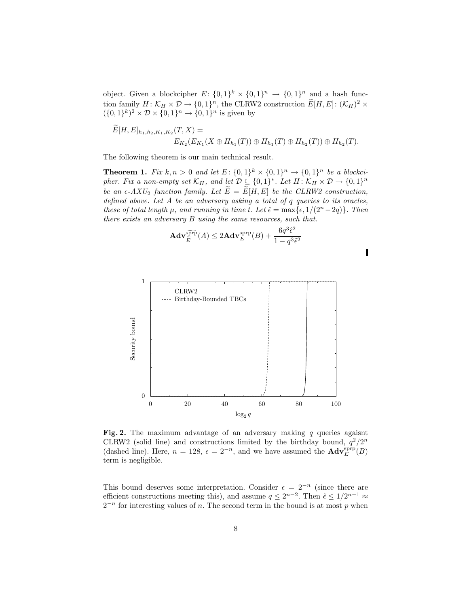object. Given a blockcipher  $E: \{0,1\}^k \times \{0,1\}^n \to \{0,1\}^n$  and a hash function family  $H: \mathcal{K}_H \times \mathcal{D} \to \{0,1\}^n$ , the CLRW2 construction  $\widetilde{E}[H,E]: (\mathcal{K}_H)^2 \times$  $({0,1}^k)^2 \times \mathcal{D} \times {0,1}^n \to {0,1}^n$  is given by

$$
E[H, E]_{h_1, h_2, K_1, K_2}(T, X) =
$$
  

$$
E_{K_2}(E_{K_1}(X \oplus H_{h_1}(T)) \oplus H_{h_1}(T) \oplus H_{h_2}(T)) \oplus H_{h_2}(T).
$$

The following theorem is our main technical result.

**Theorem 1.** Fix  $k, n > 0$  and let  $E: \{0,1\}^k \times \{0,1\}^n \rightarrow \{0,1\}^n$  be a blockcipher. Fix a non-empty set  $\mathcal{K}_H$ , and let  $\mathcal{D} \subseteq \{0,1\}^*$ . Let  $H: \mathcal{K}_H \times \mathcal{D} \to \{0,1\}^n$ be an  $\epsilon$ -AXU<sub>2</sub> function family. Let  $\widetilde{E} = \widetilde{E}[H, E]$  be the CLRW2 construction, defined above. Let A be an adversary asking a total of q queries to its oracles, these of total length  $\mu$ , and running in time t. Let  $\hat{\epsilon} = \max\{\epsilon, 1/(2^n - 2q)\}\$ . Then there exists an adversary B using the same resources, such that.

$$
\mathbf{Adv}_{\widetilde{E}}^{\widetilde{\text{ppp}}}(A) \le 2\mathbf{Adv}_{E}^{\text{sprp}}(B) + \frac{6q^3\hat{\epsilon}^2}{1 - q^3\hat{\epsilon}^2}
$$



Fig. 2. The maximum advantage of an adversary making  $q$  queries agaisnt CLRW2 (solid line) and constructions limited by the birthday bound,  $q^2/2^n$ (dashed line). Here,  $n = 128$ ,  $\epsilon = 2^{-n}$ , and we have assumed the  $\mathbf{Adv}_{E}^{\text{sprp}}(B)$ term is negligible.

This bound deserves some interpretation. Consider  $\epsilon = 2^{-n}$  (since there are efficient constructions meeting this), and assume  $q \leq 2^{n-2}$ . Then  $\hat{\epsilon} \leq 1/2^{n-1} \approx$  $2^{-n}$  for interesting values of n. The second term in the bound is at most p when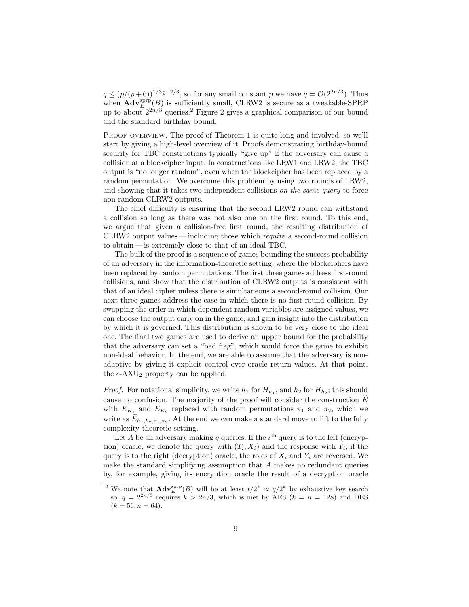$q \leq (p/(p+6))^{1/3} \hat{\epsilon}^{-2/3}$ , so for any small constant p we have  $q = \mathcal{O}(2^{2n/3})$ . Thus when  $\mathbf{Adv}_{E}^{\text{sprp}}(B)$  is sufficiently small, CLRW2 is secure as a tweakable-SPRP up to about  $2^{2n/3}$  queries.<sup>2</sup> Figure 2 gives a graphical comparison of our bound and the standard birthday bound.

PROOF OVERVIEW. The proof of Theorem 1 is quite long and involved, so we'll start by giving a high-level overview of it. Proofs demonstrating birthday-bound security for TBC constructions typically "give up" if the adversary can cause a collision at a blockcipher input. In constructions like LRW1 and LRW2, the TBC output is "no longer random", even when the blockcipher has been replaced by a random permutation. We overcome this problem by using two rounds of LRW2, and showing that it takes two independent collisions on the same query to force non-random CLRW2 outputs.

The chief difficulty is ensuring that the second LRW2 round can withstand a collision so long as there was not also one on the first round. To this end, we argue that given a collision-free first round, the resulting distribution of CLRW2 output values — including those which require a second-round collision to obtain — is extremely close to that of an ideal TBC.

The bulk of the proof is a sequence of games bounding the success probability of an adversary in the information-theoretic setting, where the blockciphers have been replaced by random permutations. The first three games address first-round collisions, and show that the distribution of CLRW2 outputs is consistent with that of an ideal cipher unless there is simultaneous a second-round collision. Our next three games address the case in which there is no first-round collision. By swapping the order in which dependent random variables are assigned values, we can choose the output early on in the game, and gain insight into the distribution by which it is governed. This distribution is shown to be very close to the ideal one. The final two games are used to derive an upper bound for the probability that the adversary can set a "bad flag", which would force the game to exhibit non-ideal behavior. In the end, we are able to assume that the adversary is nonadaptive by giving it explicit control over oracle return values. At that point, the  $\epsilon$ -AXU<sub>2</sub> property can be applied.

*Proof.* For notational simplicity, we write  $h_1$  for  $H_{h_1}$ , and  $h_2$  for  $H_{h_2}$ ; this should cause no confusion. The majority of the proof will consider the construction  $E$ with  $E_{K_1}$  and  $E_{K_2}$  replaced with random permutations  $\pi_1$  and  $\pi_2$ , which we write as  $E_{h_1,h_2,\pi_i,\pi_2}$ . At the end we can make a standard move to lift to the fully complexity theoretic setting.

Let A be an adversary making q queries. If the  $i<sup>th</sup>$  query is to the left (encryption) oracle, we denote the query with  $(T_i, X_i)$  and the response with  $Y_i$ ; if the query is to the right (decryption) oracle, the roles of  $X_i$  and  $Y_i$  are reversed. We make the standard simplifying assumption that A makes no redundant queries by, for example, giving its encryption oracle the result of a decryption oracle

<sup>&</sup>lt;sup>2</sup> We note that  $\mathbf{Adv}_{E}^{\text{prp}}(B)$  will be at least  $t/2^{k} \approx q/2^{k}$  by exhaustive key search so,  $q = 2^{2n/3}$  requires  $k > 2n/3$ , which is met by AES  $(k = n = 128)$  and DES  $(k = 56, n = 64).$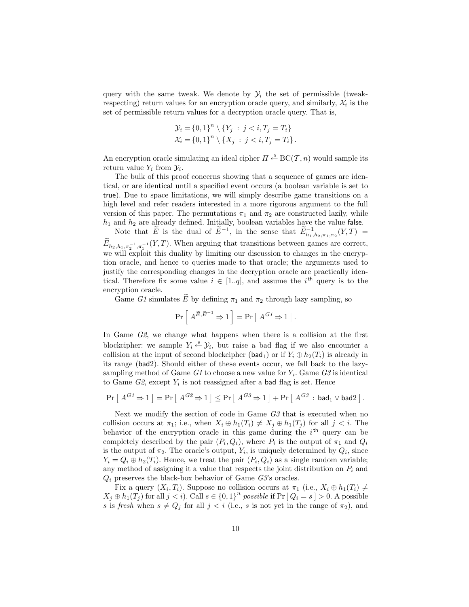query with the same tweak. We denote by  $\mathcal{Y}_i$  the set of permissible (tweakrespecting) return values for an encryption oracle query, and similarly,  $\mathcal{X}_i$  is the set of permissible return values for a decryption oracle query. That is,

$$
\mathcal{Y}_i = \{0, 1\}^n \setminus \{Y_j : j < i, T_j = T_i\}
$$
\n
$$
\mathcal{X}_i = \{0, 1\}^n \setminus \{X_j : j < i, T_j = T_i\}.
$$

An encryption oracle simulating an ideal cipher  $\Pi \stackrel{\hspace{0.1em}\mathsf{\scriptscriptstyle\$}}{\leftarrow} \mathrm{BC}(\mathcal{T},n)$  would sample its return value  $Y_i$  from  $\mathcal{Y}_i$ .

The bulk of this proof concerns showing that a sequence of games are identical, or are identical until a specified event occurs (a boolean variable is set to true). Due to space limitations, we will simply describe game transitions on a high level and refer readers interested in a more rigorous argument to the full version of this paper. The permutations  $\pi_1$  and  $\pi_2$  are constructed lazily, while  $h_1$  and  $h_2$  are already defined. Initially, boolean variables have the value false.

Note that  $\widetilde{E}$  is the dual of  $\widetilde{E}^{-1}$ , in the sense that  $\widetilde{E}^{-1}_{h_1,h_2,\pi_1,\pi_2}(Y,T)$  $E_{h_2,h_1,\pi_2^{-1},\pi_1^{-1}}(Y,T)$ . When arguing that transitions between games are correct, we will exploit this duality by limiting our discussion to changes in the encryption oracle, and hence to queries made to that oracle; the arguments used to justify the corresponding changes in the decryption oracle are practically identical. Therefore fix some value  $i \in [1..q]$ , and assume the i<sup>th</sup> query is to the encryption oracle.

Game G1 simulates  $\widetilde{E}$  by defining  $\pi_1$  and  $\pi_2$  through lazy sampling, so

$$
\Pr\left[\,A^{\widetilde{E},\widetilde{E}^{-1}}\Rightarrow 1\,\right]=\Pr\left[\,A^{G1}\Rightarrow 1\,\right].
$$

In Game G2, we change what happens when there is a collision at the first blockcipher: we sample  $Y_i \stackrel{\$}{\leftarrow} Y_i$ , but raise a bad flag if we also encounter a collision at the input of second blockcipher (bad<sub>1</sub>) or if  $Y_i \oplus h_2(T_i)$  is already in its range (bad2). Should either of these events occur, we fall back to the lazysampling method of Game  $G1$  to choose a new value for  $Y_i$ . Game  $G3$  is identical to Game  $G2$ , except  $Y_i$  is not reassigned after a bad flag is set. Hence

$$
\Pr\left[\,A^{G1} \Rightarrow 1\,\right] = \Pr\left[\,A^{G2} \Rightarrow 1\,\right] \leq \Pr\left[\,A^{G3} \Rightarrow 1\,\right] + \Pr\left[\,A^{G3}\,:\,\mathsf{bad}_1 \vee \mathsf{bad}_2\,\right].
$$

Next we modify the section of code in Game G3 that is executed when no collision occurs at  $\pi_1$ ; i.e., when  $X_i \oplus h_1(T_i) \neq X_j \oplus h_1(T_j)$  for all  $j < i$ . The behavior of the encryption oracle in this game during the  $i<sup>th</sup>$  query can be completely described by the pair  $(P_i, Q_i)$ , where  $P_i$  is the output of  $\pi_1$  and  $Q_i$ is the output of  $\pi_2$ . The oracle's output,  $Y_i$ , is uniquely determined by  $Q_i$ , since  $Y_i = Q_i \oplus h_2(T_i)$ . Hence, we treat the pair  $(P_i, Q_i)$  as a single random variable; any method of assigning it a value that respects the joint distribution on  $P_i$  and  $Q_i$  preserves the black-box behavior of Game  $G3$ 's oracles.

Fix a query  $(X_i, T_i)$ . Suppose no collision occurs at  $\pi_1$  (i.e.,  $X_i \oplus h_1(T_i) \neq$  $X_j \oplus h_1(T_j)$  for all  $j < i$ ). Call  $s \in \{0,1\}^n$  possible if  $Pr [Q_i = s] > 0$ . A possible s is fresh when  $s \neq Q_j$  for all  $j < i$  (i.e., s is not yet in the range of  $\pi_2$ ), and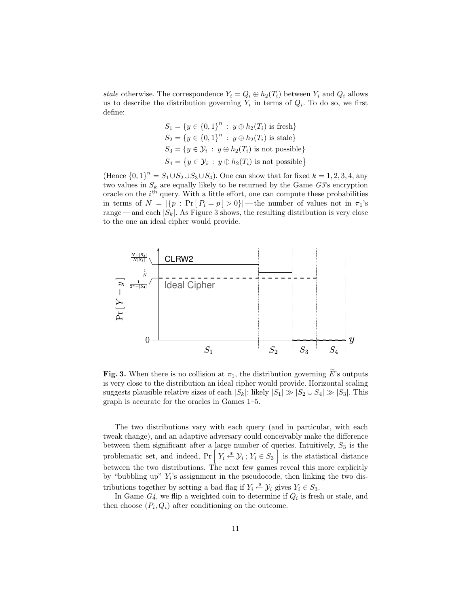stale otherwise. The correspondence  $Y_i = Q_i \oplus h_2(T_i)$  between  $Y_i$  and  $Q_i$  allows us to describe the distribution governing  $Y_i$  in terms of  $Q_i$ . To do so, we first define:

$$
S_1 = \{y \in \{0, 1\}^n : y \oplus h_2(T_i) \text{ is fresh}\}
$$
  
\n
$$
S_2 = \{y \in \{0, 1\}^n : y \oplus h_2(T_i) \text{ is stale}\}
$$
  
\n
$$
S_3 = \{y \in \mathcal{Y}_i : y \oplus h_2(T_i) \text{ is not possible}\}
$$
  
\n
$$
S_4 = \{y \in \overline{\mathcal{Y}_i} : y \oplus h_2(T_i) \text{ is not possible}\}
$$

(Hence  ${0, 1}^n = S_1 \cup S_2 \cup S_3 \cup S_4$ ). One can show that for fixed  $k = 1, 2, 3, 4$ , any two values in  $S_k$  are equally likely to be returned by the Game  $G3$ 's encryption oracle on the  $i<sup>th</sup>$  query. With a little effort, one can compute these probabilities in terms of  $N = |\{p : \Pr[P_i = p] > 0\}|$  — the number of values not in  $\pi_1$ 's range — and each  $|S_k|$ . As Figure 3 shows, the resulting distribution is very close to the one an ideal cipher would provide.



Fig. 3. When there is no collision at  $\pi_1$ , the distribution governing  $\widetilde{E}$ 's outputs is very close to the distribution an ideal cipher would provide. Horizontal scaling suggests plausible relative sizes of each  $|S_k|$ : likely  $|S_1| \gg |S_2 \cup S_4| \gg |S_3|$ . This graph is accurate for the oracles in Games 1–5.

The two distributions vary with each query (and in particular, with each tweak change), and an adaptive adversary could conceivably make the difference between them significant after a large number of queries. Intuitively,  $S_3$  is the problematic set, and indeed,  $Pr\left[Y_i \stackrel{\$}{\leftarrow} \mathcal{Y}_i; Y_i \in S_3\right]$  is the statistical distance between the two distributions. The next few games reveal this more explicitly by "bubbling up"  $Y_i$ 's assignment in the pseudocode, then linking the two distributions together by setting a bad flag if  $Y_i \stackrel{\text{*}}{\leftarrow} \mathcal{Y}_i$  gives  $Y_i \in S_3$ .

In Game  $G_4$ , we flip a weighted coin to determine if  $Q_i$  is fresh or stale, and then choose  $(P_i, Q_i)$  after conditioning on the outcome.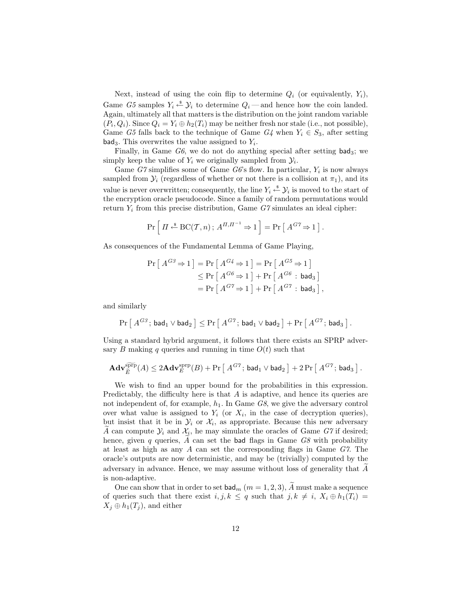Next, instead of using the coin flip to determine  $Q_i$  (or equivalently,  $Y_i$ ), Game G5 samples  $Y_i \stackrel{\ast}{\leftarrow} Y_i$  to determine  $Q_i$ —and hence how the coin landed. Again, ultimately all that matters is the distribution on the joint random variable  $(P_i, Q_i)$ . Since  $Q_i = Y_i \oplus h_2(T_i)$  may be neither fresh nor stale (i.e., not possible), Game G5 falls back to the technique of Game  $G_4$  when  $Y_i \in S_3$ , after setting  $bad_3$ . This overwrites the value assigned to  $Y_i$ .

Finally, in Game  $G6$ , we do not do anything special after setting bad<sub>3</sub>; we simply keep the value of  $Y_i$  we originally sampled from  $\mathcal{Y}_i$ .

Game  $G7$  simplifies some of Game  $G6$ 's flow. In particular,  $Y_i$  is now always sampled from  $\mathcal{Y}_i$  (regardless of whether or not there is a collision at  $\pi_1$ ), and its value is never overwritten; consequently, the line  $Y_i \stackrel{\$}{\leftarrow} \mathcal{Y}_i$  is moved to the start of the encryption oracle pseudocode. Since a family of random permutations would return  $Y_i$  from this precise distribution, Game  $G7$  simulates an ideal cipher:

$$
\Pr\left[\Pi \stackrel{\hspace{0.1em}\mathsf{\scriptscriptstyle\$}}{=} \text{BC}(\mathcal{T}, n); A^{\Pi, \Pi^{-1}} \Rightarrow 1\right] = \Pr\left[\right. A^{G7} \Rightarrow 1\right].
$$

As consequences of the Fundamental Lemma of Game Playing,

$$
\Pr\left[A^{G3} \Rightarrow 1\right] = \Pr\left[A^{G4} \Rightarrow 1\right] = \Pr\left[A^{G5} \Rightarrow 1\right] \\
\leq \Pr\left[A^{G6} \Rightarrow 1\right] + \Pr\left[A^{G6} : \mathsf{bad}_3\right] \\
= \Pr\left[A^{G7} \Rightarrow 1\right] + \Pr\left[A^{G7} : \mathsf{bad}_3\right]
$$

,

and similarly

$$
\Pr\left[\,A^{G3}\,;\,\mathsf{bad}_1 \vee \mathsf{bad}_2\,\right] \leq \Pr\left[\,A^{G7}\,;\,\mathsf{bad}_1 \vee \mathsf{bad}_2\,\right] + \Pr\left[\,A^{G7}\,;\,\mathsf{bad}_3\,\right].
$$

Using a standard hybrid argument, it follows that there exists an SPRP adversary B making q queries and running in time  $O(t)$  such that

$$
\mathbf{Adv}_{\widetilde{E}}^{\widetilde{\mathrm{ppp}}}(A) \leq 2\mathbf{Adv}_{E}^{\mathrm{supp}}(B) + \Pr\left[\,A^{G7};\,\mathsf{bad}_1 \vee \mathsf{bad}_2\,\right] + 2\Pr\left[\,A^{G7};\,\mathsf{bad}_3\,\right].
$$

We wish to find an upper bound for the probabilities in this expression. Predictably, the difficulty here is that A is adaptive, and hence its queries are not independent of, for example,  $h_1$ . In Game  $G_8$ , we give the adversary control over what value is assigned to  $Y_i$  (or  $X_i$ , in the case of decryption queries), but insist that it be in  $\mathcal{Y}_i$  or  $\mathcal{X}_i$ , as appropriate. Because this new adversary A can compute  $\mathcal{Y}_i$  and  $\mathcal{X}_i$ , he may simulate the oracles of Game G7 if desired; hence, given q queries, A can set the bad flags in Game  $G8$  with probability at least as high as any  $A$  can set the corresponding flags in Game  $G\tilde{Z}$ . The oracle's outputs are now deterministic, and may be (trivially) computed by the adversary in advance. Hence, we may assume without loss of generality that  $A$ is non-adaptive.

One can show that in order to set  $\mathsf{bad}_m$   $(m = 1, 2, 3)$ , A must make a sequence of queries such that there exist  $i, j, k \leq q$  such that  $j, k \neq i, X_i \oplus h_1(T_i) =$  $X_j \oplus h_1(T_j)$ , and either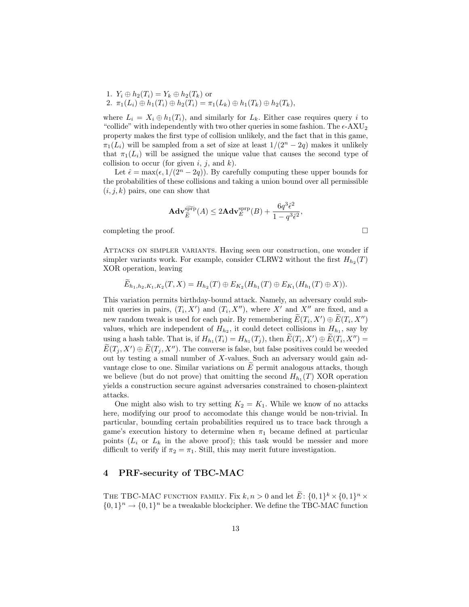1.  $Y_i \oplus h_2(T_i) = Y_k \oplus h_2(T_k)$  or 2.  $\pi_1(L_i) \oplus h_1(T_i) \oplus h_2(T_i) = \pi_1(L_k) \oplus h_1(T_k) \oplus h_2(T_k),$ 

where  $L_i = X_i \oplus h_1(T_i)$ , and similarly for  $L_k$ . Either case requires query i to "collide" with independently with two other queries in some fashion. The  $\epsilon$ -AXU<sub>2</sub> property makes the first type of collision unlikely, and the fact that in this game,  $\pi_1(L_i)$  will be sampled from a set of size at least  $1/(2^n-2q)$  makes it unlikely that  $\pi_1(L_i)$  will be assigned the unique value that causes the second type of collision to occur (for given  $i, j$ , and  $k$ ).

Let  $\hat{\epsilon} = \max(\epsilon, 1/(2^n - 2q))$ . By carefully computing these upper bounds for the probabilities of these collisions and taking a union bound over all permissible  $(i, j, k)$  pairs, one can show that

$$
\mathbf{Adv}_{\tilde{E}}^{\widetilde{\text{spp}}}(A) \leq 2\mathbf{Adv}_{E}^{\text{sprp}}(B) + \frac{6q^3\hat{\epsilon}^2}{1-q^3\hat{\epsilon}^2},
$$

completing the proof.

Attacks on simpler variants. Having seen our construction, one wonder if simpler variants work. For example, consider CLRW2 without the first  $H_{h_2}(T)$ XOR operation, leaving

$$
E_{h_1,h_2,K_1,K_2}(T,X)=H_{h_2}(T)\oplus E_{K_2}(H_{h_1}(T)\oplus E_{K_1}(H_{h_1}(T)\oplus X)).
$$

This variation permits birthday-bound attack. Namely, an adversary could submit queries in pairs,  $(T_i, X')$  and  $(T_i, X'')$ , where X' and X'' are fixed, and a new random tweak is used for each pair. By remembering  $\widetilde{E}(T_i, X') \oplus \widetilde{E}(T_i, X'')$ values, which are independent of  $H_{h_2}$ , it could detect collisions in  $H_{h_1}$ , say by using a hash table. That is, if  $H_{h_1}(T_i) = H_{h_1}(T_j)$ , then  $\widetilde{E}(T_i, X') \oplus \widetilde{E}(T_i, X'') =$  $\widetilde{E}(T_j, X') \oplus \widetilde{E}(T_j, X'')$ . The converse is false, but false positives could be weeded out by testing a small number of X-values. Such an adversary would gain advantage close to one. Similar variations on  $E$  permit analogous attacks, though we believe (but do not prove) that omitting the second  $H_{h_1}(T)$  XOR operation yields a construction secure against adversaries constrained to chosen-plaintext attacks.

One might also wish to try setting  $K_2 = K_1$ . While we know of no attacks here, modifying our proof to accomodate this change would be non-trivial. In particular, bounding certain probabilities required us to trace back through a game's execution history to determine when  $\pi_1$  became defined at particular points  $(L_i \text{ or } L_k)$  in the above proof); this task would be messier and more difficult to verify if  $\pi_2 = \pi_1$ . Still, this may merit future investigation.

## 4 PRF-security of TBC-MAC

THE TBC-MAC FUNCTION FAMILY. Fix  $k, n > 0$  and let  $\widetilde{E}: \{0, 1\}^k \times \{0, 1\}^n \times$  $\{0,1\}^n \to \{0,1\}^n$  be a tweakable blockcipher. We define the TBC-MAC function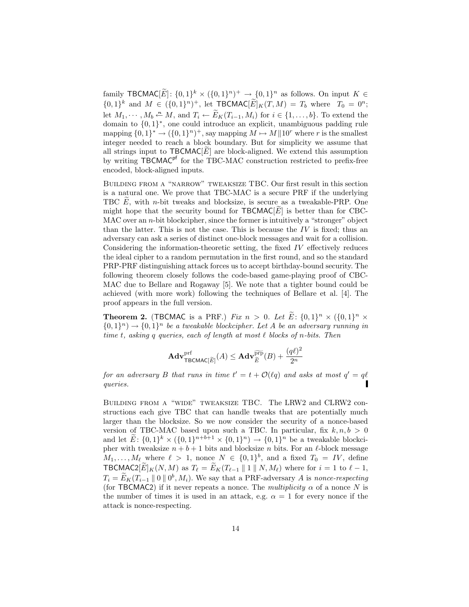family TBCMAC $[\tilde{E}]$ :  $\{0,1\}^k \times (\{0,1\}^n)^+ \to \{0,1\}^n$  as follows. On input  $K \in$  $\{0,1\}^k$  and  $M \in (\{0,1\}^n)^+$ , let  $\mathcal{L}$ BCMAC $[\tilde{E}]_K(T,M) = T_b$  where  $T_0 = 0^n$ ; let  $M_1, \dots, M_b \stackrel{n}{\leftarrow} M$ , and  $T_i \leftarrow \widetilde{E}_K(T_{i-1}, M_i)$  for  $i \in \{1, \dots, b\}$ . To extend the domain to {0, 1} ∗ , one could introduce an explicit, unambiguous padding rule mapping  $\{0,1\}^* \to (\{0,1\}^n)^+$ , say mapping  $M \mapsto M \parallel 10^r$  where r is the smallest integer needed to reach a block boundary. But for simplicity we assume that all strings input to  $TBCMAC[E]$  are block-aligned. We extend this assumption by writing TBCMAC<sup>pf</sup> for the TBC-MAC construction restricted to prefix-free encoded, block-aligned inputs.

Building from a "narrow" tweaksize TBC. Our first result in this section is a natural one. We prove that TBC-MAC is a secure PRF if the underlying TBC  $E$ , with *n*-bit tweaks and blocksize, is secure as a tweakable-PRP. One might hope that the security bound for  $TBCMAC[\vec{E}]$  is better than for CBC-MAC over an *n*-bit blockcipher, since the former is intuitively a "stronger" object than the latter. This is not the case. This is because the  $IV$  is fixed; thus an adversary can ask a series of distinct one-block messages and wait for a collision. Considering the information-theoretic setting, the fixed IV effectively reduces the ideal cipher to a random permutation in the first round, and so the standard PRP-PRF distinguishing attack forces us to accept birthday-bound security. The following theorem closely follows the code-based game-playing proof of CBC-MAC due to Bellare and Rogaway [5]. We note that a tighter bound could be achieved (with more work) following the techniques of Bellare et al. [4]. The proof appears in the full version.

**Theorem 2.** (TBCMAC is a PRF.) Fix  $n > 0$ . Let  $\tilde{E}$ :  $\{0,1\}^n \times (\{0,1\}^n \times$  ${0,1}^n$   $\rightarrow$   ${0,1}^n$  be a tweakable blockcipher. Let A be an adversary running in time t, asking q queries, each of length at most  $\ell$  blocks of n-bits. Then

$$
\mathbf{Adv}_{\mathsf{TECMAC}[\widetilde{E}]}^{\text{prf}}(A) \leq \mathbf{Adv}_{\widetilde{E}}^{\widetilde{\text{prp}}}(B) + \frac{(q\ell)^2}{2^n}
$$

for an adversary B that runs in time  $t' = t + \mathcal{O}(\ell q)$  and asks at most  $q' = q\ell$ queries.

Building from a "wide" tweaksize TBC. The LRW2 and CLRW2 constructions each give TBC that can handle tweaks that are potentially much larger than the blocksize. So we now consider the security of a nonce-based version of TBC-MAC based upon such a TBC. In particular, fix  $k, n, b > 0$ and let  $\widetilde{E}: \{0,1\}^k \times (\{0,1\}^{n+b+1} \times \{0,1\}^n) \to \{0,1\}^n$  be a tweakable blockcipher with tweaksize  $n + b + 1$  bits and blocksize n bits. For an  $\ell$ -block message  $M_1, \ldots, M_\ell$  where  $\ell > 1$ , nonce  $N \in \{0,1\}^b$ , and a fixed  $T_0 = IV$ , define TBCMAC2 $[\widetilde{E}]_K(N, M)$  as  $T_\ell = \widetilde{E}_K(T_{\ell-1} || 1 || N, M_\ell)$  where for  $i = 1$  to  $\ell - 1$ ,  $T_i = \widetilde{E}_K(T_{i-1} \parallel 0 \parallel 0^b, M_i)$ . We say that a PRF-adversary A is nonce-respecting (for TBCMAC2) if it never repeats a nonce. The *multiplicity*  $\alpha$  of a nonce N is the number of times it is used in an attack, e.g.  $\alpha = 1$  for every nonce if the attack is nonce-respecting.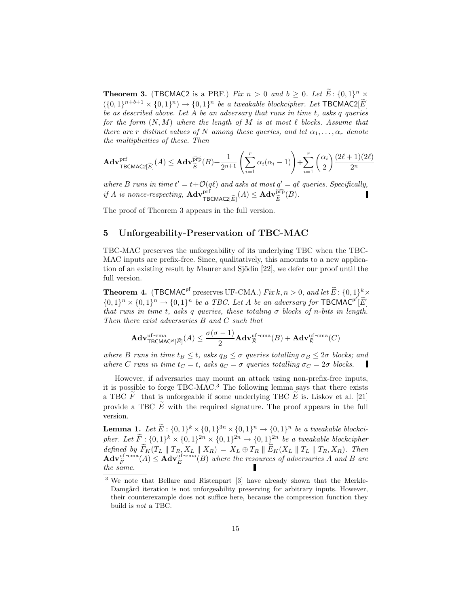**Theorem 3.** (TBCMAC2 is a PRF.) Fix  $n > 0$  and  $b \ge 0$ . Let  $\tilde{E}$ :  $\{0,1\}^n \times$  $( \{0,1\}^{n+b+1} \times \{0,1\}^n ) \rightarrow \{0,1\}^n$  be a tweakable blockcipher. Let TBCMAC2[E] be as described above. Let A be an adversary that runs in time t, asks q queries for the form  $(N, M)$  where the length of M is at most  $\ell$  blocks. Assume that there are r distinct values of N among these queries, and let  $\alpha_1, \ldots, \alpha_r$  denote the multiplicities of these. Then

$$
\mathbf{Adv}_{\mathsf{TBCMAC2}[\widetilde{E}]}^{\text{prf}}(A) \leq \mathbf{Adv}_{\widetilde{E}}^{\widetilde{\text{prp}}}(B) + \frac{1}{2^{n+1}} \left( \sum_{i=1}^{r} \alpha_i (\alpha_i - 1) \right) + \sum_{i=1}^{r} {\alpha_i \choose 2} \frac{(2\ell+1)(2\ell)}{2^n}
$$

where B runs in time  $t' = t + \mathcal{O}(q\ell)$  and asks at most  $q' = q\ell$  queries. Specifically, if A is nonce-respecting,  $\mathbf{Adv}_{\mathsf{TECMAC2}[\widetilde{E}]}^{\text{prf}}(A) \leq \mathbf{Adv}_{\widetilde{E}}^{\text{prp}}(B).$ 

The proof of Theorem 3 appears in the full version.

## 5 Unforgeability-Preservation of TBC-MAC

TBC-MAC preserves the unforgeability of its underlying TBC when the TBC-MAC inputs are prefix-free. Since, qualitatively, this amounts to a new application of an existing result by Maurer and Sjödin  $[22]$ , we defer our proof until the full version.

**Theorem 4.** (TBCMAC<sup>pf</sup> preserves UF-CMA.) Fix  $k, n > 0$ , and let  $\widetilde{E}: \{0, 1\}^k \times$  $\{0,1\}^n \times \{0,1\}^n \to \{0,1\}^n$  be a TBC. Let A be an adversary for TBCMAC<sup>pf</sup> $[\widetilde{E}]$ that runs in time t, asks q queries, these totaling  $\sigma$  blocks of n-bits in length. Then there exist adversaries B and C such that

$$
\mathbf{Adv}_{\mathsf{TECMAC}^{\text{uf-cma}}(\tilde{E})}^{\text{uf-cma}}(A) \leq \frac{\sigma(\sigma-1)}{2} \mathbf{Adv}_{\tilde{E}}^{\text{uf-cma}}(B) + \mathbf{Adv}_{\tilde{E}}^{\text{uf-cma}}(C)
$$

where B runs in time  $t_B \leq t$ , asks  $q_B \leq \sigma$  queries totalling  $\sigma_B \leq 2\sigma$  blocks; and where C runs in time  $t_C = t$ , asks  $q_C = \sigma$  queries totalling  $\sigma_C = 2\sigma$  blocks.

However, if adversaries may mount an attack using non-prefix-free inputs, it is possible to forge TBC-MAC.<sup>3</sup> The following lemma says that there exists a TBC  $\tilde{F}$  that is unforgeable if some underlying TBC  $\tilde{E}$  is. Liskov et al. [21] provide a TBC  $\tilde{E}$  with the required signature. The proof appears in the full version.

**Lemma 1.** Let  $\widetilde{E}: \{0,1\}^k \times \{0,1\}^{3n} \times \{0,1\}^n \rightarrow \{0,1\}^n$  be a tweakable blockcipher. Let  $\widetilde{F}$ :  $\{0,1\}^k \times \{0,1\}^{2n} \times \{0,1\}^{2n} \to \{0,1\}^{2n}$  be a tweakable blockcipher defined by  $F_K(T_L \parallel T_R, X_L \parallel X_R) = X_L \oplus T_R \parallel E_K(X_L \parallel T_L \parallel T_R, X_R)$ . Then<br>  $\mathbf{Adv}_{\overline{F}}^{\text{uf-cma}}(A) \leq \mathbf{Adv}_{\overline{E}}^{\text{uf-cma}}(B)$  where the resources of adversaries A and B are the same.

<sup>3</sup> We note that Bellare and Ristenpart [3] have already shown that the Merkle-Damgård iteration is not unforgeability preserving for arbitrary inputs. However, their counterexample does not suffice here, because the compression function they build is not a TBC.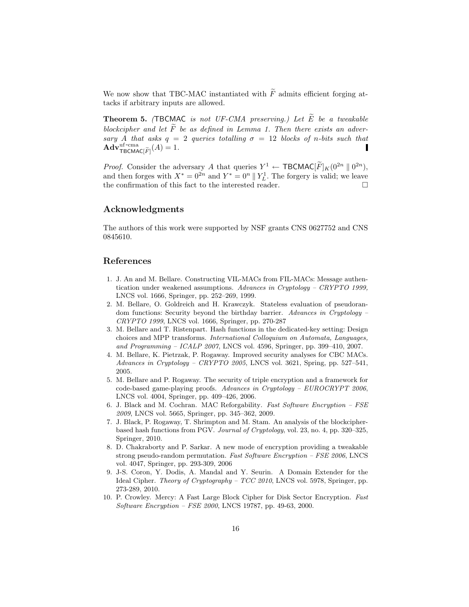We now show that TBC-MAC instantiated with  $\widetilde{F}$  admits efficient forging attacks if arbitrary inputs are allowed.

**Theorem 5.** (TBCMAC is not UF-CMA preserving.) Let  $\widetilde{E}$  be a tweakable blockcipher and let  $\widetilde{F}$  be as defined in Lemma 1. Then there exists an adversary A that asks  $q = 2$  queries totalling  $\sigma = 12$  blocks of n-bits such that  $\mathbf{Adv}_{\mathsf{TECMAC}[\widetilde{F}]}^{\text{uf-cma}}(A) = 1.$ Г

*Proof.* Consider the adversary A that queries  $Y^1 \leftarrow \textsf{TBCMAC}[\tilde{F}]_K(0^{2n} \parallel 0^{2n}),$ and then forges with  $X^* = 0^{2n}$  and  $Y^* = 0^n || Y_L^1$ . The forgery is valid; we leave the confirmation of this fact to the interested reader.

# Acknowledgments

The authors of this work were supported by NSF grants CNS 0627752 and CNS 0845610.

#### References

- 1. J. An and M. Bellare. Constructing VIL-MACs from FIL-MACs: Message authentication under weakened assumptions. Advances in Cryptology – CRYPTO 1999, LNCS vol. 1666, Springer, pp. 252–269, 1999.
- 2. M. Bellare, O. Goldreich and H. Krawczyk. Stateless evaluation of pseudorandom functions: Security beyond the birthday barrier. Advances in Cryptology – CRYPTO 1999, LNCS vol. 1666, Springer, pp. 270-287
- 3. M. Bellare and T. Ristenpart. Hash functions in the dedicated-key setting: Design choices and MPP transforms. International Colloquium on Automata, Languages, and Programming – ICALP 2007, LNCS vol. 4596, Springer, pp. 399–410, 2007.
- 4. M. Bellare, K. Pietrzak, P. Rogaway. Improved security analyses for CBC MACs. Advances in Cryptology – CRYPTO 2005, LNCS vol. 3621, Spring, pp. 527–541, 2005.
- 5. M. Bellare and P. Rogaway. The security of triple encryption and a framework for code-based game-playing proofs. Advances in Cryptology – EUROCRYPT 2006, LNCS vol. 4004, Springer, pp. 409–426, 2006.
- 6. J. Black and M. Cochran. MAC Reforgability. Fast Software Encryption FSE 2009, LNCS vol. 5665, Springer, pp. 345–362, 2009.
- 7. J. Black, P. Rogaway, T. Shrimpton and M. Stam. An analysis of the blockcipherbased hash functions from PGV. Journal of Cryptology, vol. 23, no. 4, pp. 320–325, Springer, 2010.
- 8. D. Chakraborty and P. Sarkar. A new mode of encryption providing a tweakable strong pseudo-random permutation. Fast Software Encryption – FSE 2006, LNCS vol. 4047, Springer, pp. 293-309, 2006
- 9. J-S. Coron, Y. Dodis, A. Mandal and Y. Seurin. A Domain Extender for the Ideal Cipher. Theory of Cryptography – TCC 2010, LNCS vol. 5978, Springer, pp. 273-289, 2010.
- 10. P. Crowley. Mercy: A Fast Large Block Cipher for Disk Sector Encryption. Fast Software Encryption – FSE 2000, LNCS 19787, pp. 49-63, 2000.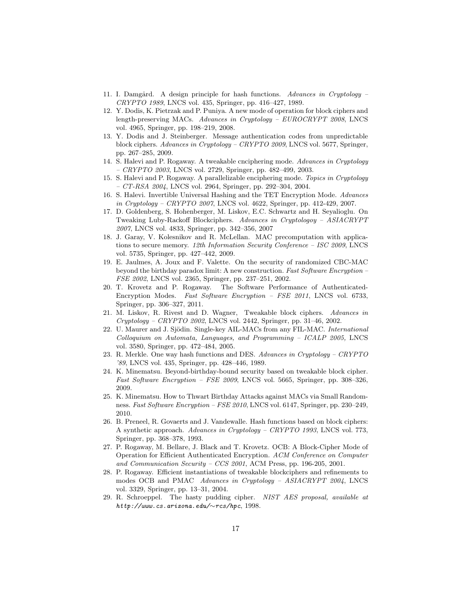- 11. I. Damgård. A design principle for hash functions. Advances in Cryptology CRYPTO 1989, LNCS vol. 435, Springer, pp. 416–427, 1989.
- 12. Y. Dodis, K. Pietrzak and P. Puniya. A new mode of operation for block ciphers and length-preserving MACs. Advances in Cryptology – EUROCRYPT 2008, LNCS vol. 4965, Springer, pp. 198–219, 2008.
- 13. Y. Dodis and J. Steinberger. Message authentication codes from unpredictable block ciphers. Advances in Cryptology – CRYPTO 2009, LNCS vol. 5677, Springer, pp. 267–285, 2009.
- 14. S. Halevi and P. Rogaway. A tweakable cnciphering mode. Advances in Cryptology  $-CRYPTO 2003$ , LNCS vol. 2729, Springer, pp. 482–499, 2003.
- 15. S. Halevi and P. Rogaway. A parallelizable enciphering mode. Topics in Cryptology  $- CT-RSA 2004$ , LNCS vol. 2964, Springer, pp. 292–304, 2004.
- 16. S. Halevi. Invertible Universal Hashing and the TET Encryption Mode. Advances in Cryptology – CRYPTO 2007, LNCS vol. 4622, Springer, pp. 412-429, 2007.
- 17. D. Goldenberg, S. Hohenberger, M. Liskov, E.C. Schwartz and H. Seyalioglu. On Tweaking Luby-Rackoff Blockciphers. Advances in Cryptologoy – ASIACRYPT 2007, LNCS vol. 4833, Springer, pp. 342–356, 2007
- 18. J. Garay, V. Kolesnikov and R. McLellan. MAC precomputation with applications to secure memory. 12th Information Security Conference – ISC 2009, LNCS vol. 5735, Springer, pp. 427–442, 2009.
- 19. E. Jaulmes, A. Joux and F. Valette. On the security of randomized CBC-MAC beyond the birthday paradox limit: A new construction. Fast Software Encryption – FSE 2002, LNCS vol. 2365, Springer, pp. 237–251, 2002.
- 20. T. Krovetz and P. Rogaway. The Software Performance of Authenticated-Encryption Modes. Fast Software Encryption – FSE 2011, LNCS vol. 6733, Springer, pp. 306–327, 2011.
- 21. M. Liskov, R. Rivest and D. Wagner, Tweakable block ciphers. Advances in Cryptology – CRYPTO 2002, LNCS vol. 2442, Springer, pp. 31–46, 2002.
- 22. U. Maurer and J. Sjödin. Single-key AIL-MACs from any FIL-MAC. International Colloquium on Automata, Languages, and Programming – ICALP 2005, LNCS vol. 3580, Springer, pp. 472–484, 2005.
- 23. R. Merkle. One way hash functions and DES. Advances in Cryptology CRYPTO '89, LNCS vol. 435, Springer, pp. 428–446, 1989.
- 24. K. Minematsu. Beyond-birthday-bound security based on tweakable block cipher. Fast Software Encryption – FSE 2009, LNCS vol. 5665, Springer, pp. 308–326, 2009.
- 25. K. Minematsu. How to Thwart Birthday Attacks against MACs via Small Randomness. Fast Software Encryption – FSE 2010, LNCS vol. 6147, Springer, pp. 230–249, 2010.
- 26. B. Preneel, R. Govaerts and J. Vandewalle. Hash functions based on block ciphers: A synthetic approach. Advances in Cryptology – CRYPTO 1993, LNCS vol. 773, Springer, pp. 368–378, 1993.
- 27. P. Rogaway, M. Bellare, J. Black and T. Krovetz. OCB: A Block-Cipher Mode of Operation for Efficient Authenticated Encryption. ACM Conference on Computer and Communication Security – CCS 2001, ACM Press, pp. 196-205, 2001.
- 28. P. Rogaway. Efficient instantiations of tweakable blockciphers and refinements to modes OCB and PMAC Advances in Cryptology – ASIACRYPT 2004, LNCS vol. 3329, Springer, pp. 13–31, 2004.
- 29. R. Schroeppel. The hasty pudding cipher. NIST AES proposal, available at http://www.cs.arizona.edu/∼rcs/hpc, 1998.